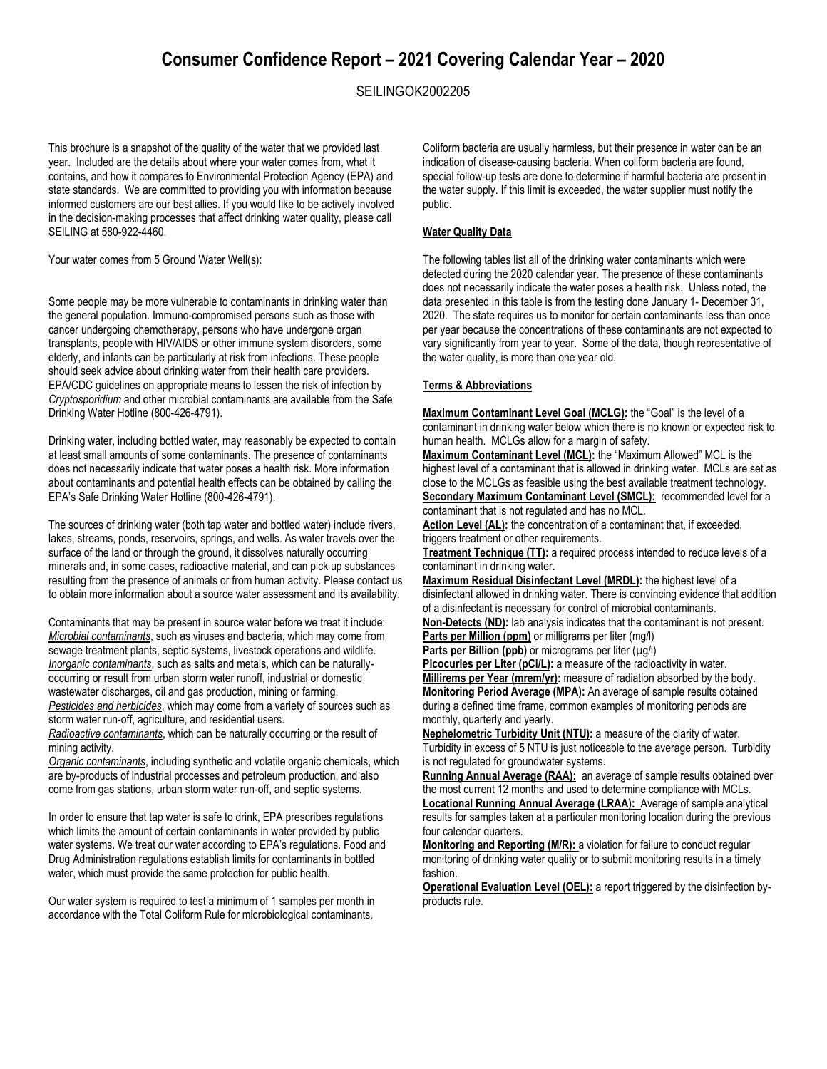# **Consumer Confidence Report – 2021 Covering Calendar Year – 2020**

## SEILINGOK2002205

This brochure is a snapshot of the quality of the water that we provided last year. Included are the details about where your water comes from, what it contains, and how it compares to Environmental Protection Agency (EPA) and state standards. We are committed to providing you with information because informed customers are our best allies. If you would like to be actively involved in the decision-making processes that affect drinking water quality, please call SEILING at 580-922-4460.

Your water comes from 5 Ground Water Well(s):

Some people may be more vulnerable to contaminants in drinking water than the general population. Immuno-compromised persons such as those with cancer undergoing chemotherapy, persons who have undergone organ transplants, people with HIV/AIDS or other immune system disorders, some elderly, and infants can be particularly at risk from infections. These people should seek advice about drinking water from their health care providers. EPA/CDC guidelines on appropriate means to lessen the risk of infection by *Cryptosporidium* and other microbial contaminants are available from the Safe Drinking Water Hotline (800-426-4791).

Drinking water, including bottled water, may reasonably be expected to contain at least small amounts of some contaminants. The presence of contaminants does not necessarily indicate that water poses a health risk. More information about contaminants and potential health effects can be obtained by calling the EPA's Safe Drinking Water Hotline (800-426-4791).

The sources of drinking water (both tap water and bottled water) include rivers, lakes, streams, ponds, reservoirs, springs, and wells. As water travels over the surface of the land or through the ground, it dissolves naturally occurring minerals and, in some cases, radioactive material, and can pick up substances resulting from the presence of animals or from human activity. Please contact us to obtain more information about a source water assessment and its availability.

Contaminants that may be present in source water before we treat it include: *Microbial contaminants*, such as viruses and bacteria, which may come from sewage treatment plants, septic systems, livestock operations and wildlife. *Inorganic contaminants*, such as salts and metals, which can be naturallyoccurring or result from urban storm water runoff, industrial or domestic wastewater discharges, oil and gas production, mining or farming. *Pesticides and herbicides*, which may come from a variety of sources such as storm water run-off, agriculture, and residential users.

*Radioactive contaminants*, which can be naturally occurring or the result of mining activity.

*Organic contaminants*, including synthetic and volatile organic chemicals, which are by-products of industrial processes and petroleum production, and also come from gas stations, urban storm water run-off, and septic systems.

In order to ensure that tap water is safe to drink, EPA prescribes regulations which limits the amount of certain contaminants in water provided by public water systems. We treat our water according to EPA's regulations. Food and Drug Administration regulations establish limits for contaminants in bottled water, which must provide the same protection for public health.

Our water system is required to test a minimum of 1 samples per month in accordance with the Total Coliform Rule for microbiological contaminants.

Coliform bacteria are usually harmless, but their presence in water can be an indication of disease-causing bacteria. When coliform bacteria are found, special follow-up tests are done to determine if harmful bacteria are present in the water supply. If this limit is exceeded, the water supplier must notify the public.

### **Water Quality Data**

The following tables list all of the drinking water contaminants which were detected during the 2020 calendar year. The presence of these contaminants does not necessarily indicate the water poses a health risk. Unless noted, the data presented in this table is from the testing done January 1- December 31, 2020. The state requires us to monitor for certain contaminants less than once per year because the concentrations of these contaminants are not expected to vary significantly from year to year. Some of the data, though representative of the water quality, is more than one year old.

### **Terms & Abbreviations**

**Maximum Contaminant Level Goal (MCLG):** the "Goal" is the level of a contaminant in drinking water below which there is no known or expected risk to human health. MCLGs allow for a margin of safety.

**Maximum Contaminant Level (MCL):** the "Maximum Allowed" MCL is the highest level of a contaminant that is allowed in drinking water. MCLs are set as close to the MCLGs as feasible using the best available treatment technology. **Secondary Maximum Contaminant Level (SMCL):** recommended level for a

contaminant that is not regulated and has no MCL.

Action Level (AL): the concentration of a contaminant that, if exceeded, triggers treatment or other requirements.

**Treatment Technique (TT):** a required process intended to reduce levels of a contaminant in drinking water.

**Maximum Residual Disinfectant Level (MRDL):** the highest level of a disinfectant allowed in drinking water. There is convincing evidence that addition of a disinfectant is necessary for control of microbial contaminants.

**Non-Detects (ND):** lab analysis indicates that the contaminant is not present. **Parts per Million (ppm)** or milligrams per liter (mg/l)

Parts per Billion (ppb) or micrograms per liter (µg/l)

Picocuries per Liter (pCi/L): a measure of the radioactivity in water. **Millirems per Year (mrem/yr):** measure of radiation absorbed by the body. **Monitoring Period Average (MPA):** An average of sample results obtained during a defined time frame, common examples of monitoring periods are monthly, quarterly and yearly.

**Nephelometric Turbidity Unit (NTU):** a measure of the clarity of water. Turbidity in excess of 5 NTU is just noticeable to the average person. Turbidity is not regulated for groundwater systems.

**Running Annual Average (RAA):** an average of sample results obtained over the most current 12 months and used to determine compliance with MCLs.

**Locational Running Annual Average (LRAA):** Average of sample analytical results for samples taken at a particular monitoring location during the previous four calendar quarters.

**Monitoring and Reporting (M/R):** a violation for failure to conduct regular monitoring of drinking water quality or to submit monitoring results in a timely fashion.

**Operational Evaluation Level (OEL):** a report triggered by the disinfection byproducts rule.